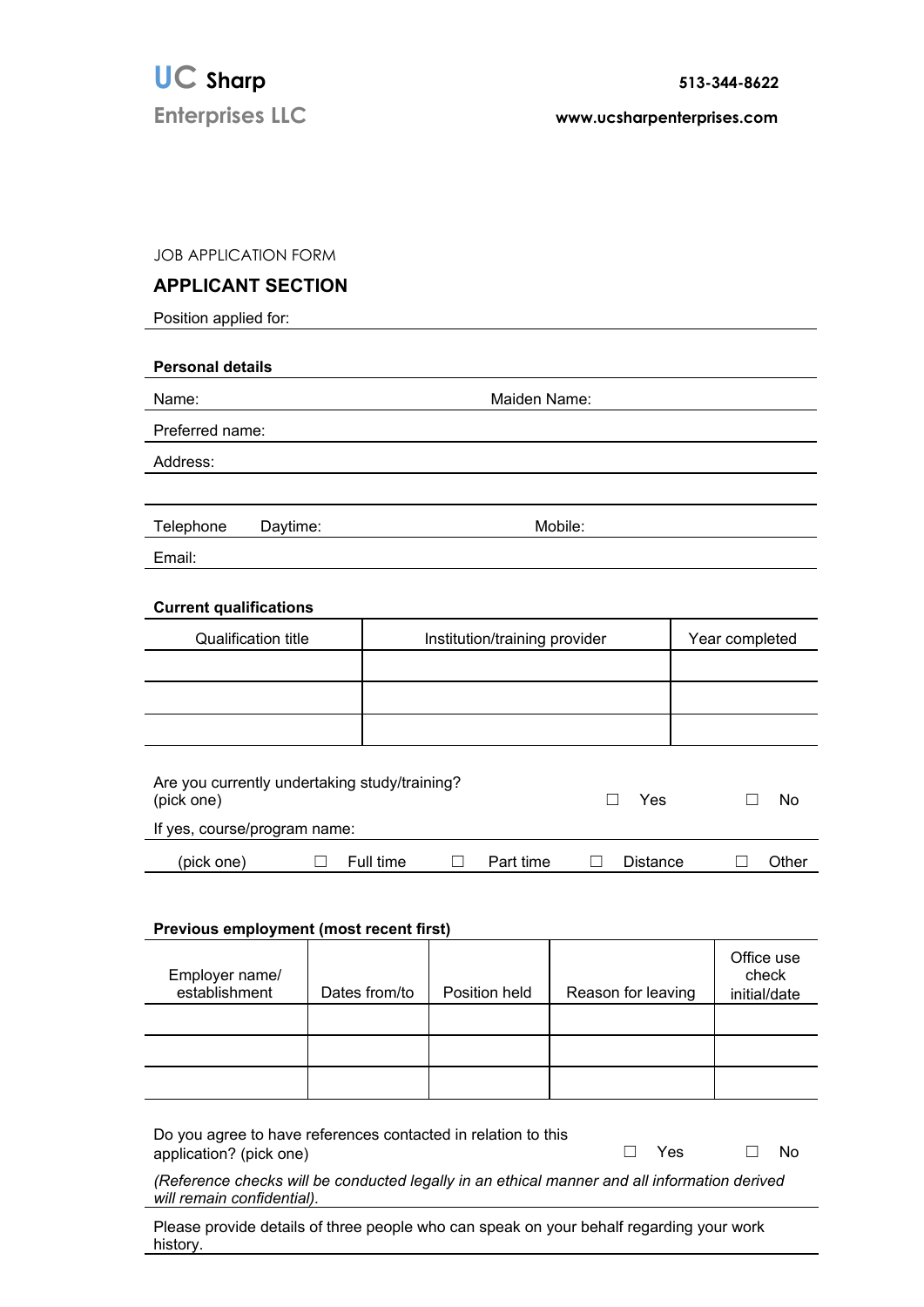**Enterprises LLC www.ucsharpenterprises.com**

JOB APPLICATION FORM

## **APPLICANT SECTION**

Position applied for:

| <b>Personal details</b>       |                               |                |  |  |  |
|-------------------------------|-------------------------------|----------------|--|--|--|
| Name:                         | Maiden Name:                  |                |  |  |  |
| Preferred name:               |                               |                |  |  |  |
| Address:                      |                               |                |  |  |  |
|                               |                               |                |  |  |  |
| Telephone<br>Daytime:         | Mobile:                       |                |  |  |  |
| Email:                        |                               |                |  |  |  |
| <b>Current qualifications</b> |                               |                |  |  |  |
| <b>Qualification title</b>    | Institution/training provider | Year completed |  |  |  |
|                               |                               |                |  |  |  |
|                               |                               |                |  |  |  |

| Are you currently undertaking study/training?<br>(pick one) |           |  |           | Yes      | N٥ |       |
|-------------------------------------------------------------|-----------|--|-----------|----------|----|-------|
| If yes, course/program name:                                |           |  |           |          |    |       |
| (pick one)                                                  | Full time |  | Part time | Distance |    | Other |

## **Previous employment (most recent first)**

| Employer name/<br>establishment | Dates from/to | Position held | Reason for leaving | Office use<br>check<br>initial/date |
|---------------------------------|---------------|---------------|--------------------|-------------------------------------|
|                                 |               |               |                    |                                     |
|                                 |               |               |                    |                                     |
|                                 |               |               |                    |                                     |

Do you agree to have references contacted in relation to this application? (pick one) ☐ Yes ☐ No

*(Reference checks will be conducted legally in an ethical manner and all information derived will remain confidential).*

Please provide details of three people who can speak on your behalf regarding your work history.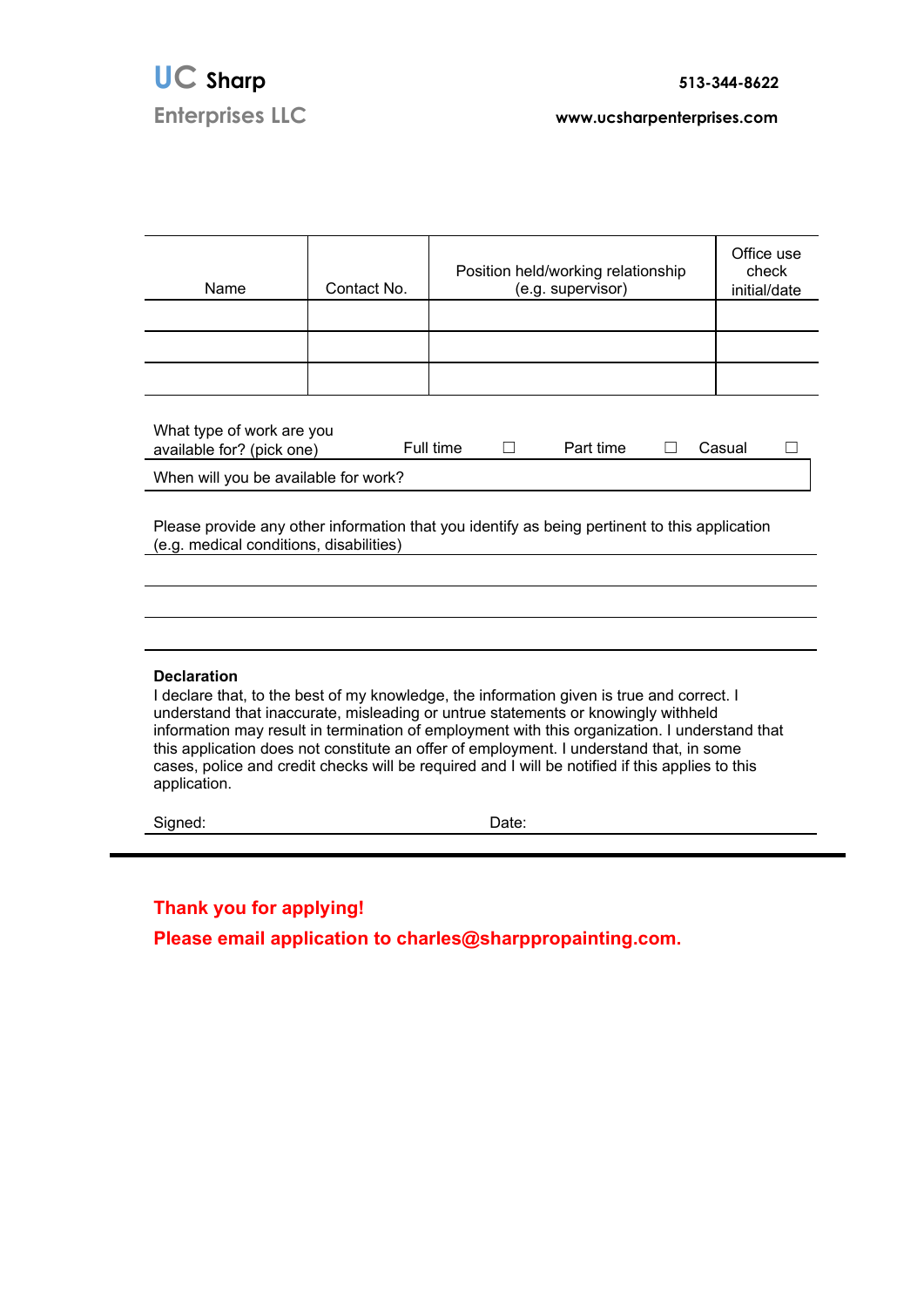| Name                                                                                                                                                                                                                                                                                                                                                                                                                                                                                                                | Contact No. | Position held/working relationship<br>(e.g. supervisor) | Office use<br>check<br>initial/date |  |  |
|---------------------------------------------------------------------------------------------------------------------------------------------------------------------------------------------------------------------------------------------------------------------------------------------------------------------------------------------------------------------------------------------------------------------------------------------------------------------------------------------------------------------|-------------|---------------------------------------------------------|-------------------------------------|--|--|
|                                                                                                                                                                                                                                                                                                                                                                                                                                                                                                                     |             |                                                         |                                     |  |  |
|                                                                                                                                                                                                                                                                                                                                                                                                                                                                                                                     |             |                                                         |                                     |  |  |
| What type of work are you<br>Full time<br>Part time<br>available for? (pick one)<br>Casual                                                                                                                                                                                                                                                                                                                                                                                                                          |             |                                                         |                                     |  |  |
| When will you be available for work?                                                                                                                                                                                                                                                                                                                                                                                                                                                                                |             |                                                         |                                     |  |  |
| Please provide any other information that you identify as being pertinent to this application<br>(e.g. medical conditions, disabilities)                                                                                                                                                                                                                                                                                                                                                                            |             |                                                         |                                     |  |  |
|                                                                                                                                                                                                                                                                                                                                                                                                                                                                                                                     |             |                                                         |                                     |  |  |
|                                                                                                                                                                                                                                                                                                                                                                                                                                                                                                                     |             |                                                         |                                     |  |  |
|                                                                                                                                                                                                                                                                                                                                                                                                                                                                                                                     |             |                                                         |                                     |  |  |
| <b>Declaration</b><br>I declare that, to the best of my knowledge, the information given is true and correct. I<br>understand that inaccurate, misleading or untrue statements or knowingly withheld<br>information may result in termination of employment with this organization. I understand that<br>this application does not constitute an offer of employment. I understand that, in some<br>cases, police and credit checks will be required and I will be notified if this applies to this<br>application. |             |                                                         |                                     |  |  |
| Signed:                                                                                                                                                                                                                                                                                                                                                                                                                                                                                                             |             | Date:                                                   |                                     |  |  |
|                                                                                                                                                                                                                                                                                                                                                                                                                                                                                                                     |             |                                                         |                                     |  |  |

**Thank you for applying!**

r

**Please email application to charles@sharppropainting.com.**